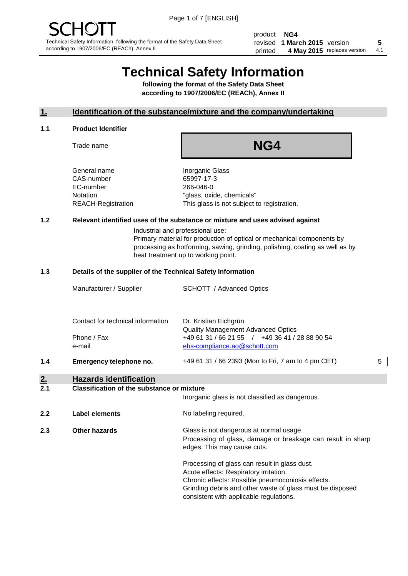product **NG4** revised **5 1 March 2015** version printed 4 May 2015 replaces version 4.1

# **Technical Safety Information**

**following the format of the Safety Data Sheet according to 1907/2006/EC (REACh), Annex II**

#### **1. Identification of the substance/mixture and the company/undertaking**

#### **1.1 Product Identifier**

Trade name

## **NG4**

General name **Inorganic Glass** CAS-number 65997-17-3 EC-number 266-046-0

Notation "glass, oxide, chemicals" REACH-Registration This glass is not subject to registration.

#### **1.2 Relevant identified uses of the substance or mixture and uses advised against**

Industrial and professional use: Primary material for production of optical or mechanical components by processing as hotforming, sawing, grinding, polishing, coating as well as by heat treatment up to working point.

#### **1.3 Details of the supplier of the Technical Safety Information**

|     | Contact for technical information | Dr. Kristian Eichgrün<br><b>Quality Management Advanced Optics</b> |   |
|-----|-----------------------------------|--------------------------------------------------------------------|---|
|     | Phone / Fax                       | +49 61 31 / 66 21 55 / +49 36 41 / 28 88 90 54                     |   |
|     | e-mail                            | ehs-compliance.ao@schott.com                                       |   |
| 1.4 | Emergency telephone no.           | +49 61 31 / 66 2393 (Mon to Fri, 7 am to 4 pm CET)                 | 5 |
|     |                                   |                                                                    |   |

### **2. Hazards identification**

#### **2.1 Classification of the substance or mixture**

|     |                      | Inorganic glass is not classified as dangerous.                                                                                                                                                                                                      |
|-----|----------------------|------------------------------------------------------------------------------------------------------------------------------------------------------------------------------------------------------------------------------------------------------|
| 2.2 | Label elements       | No labeling required.                                                                                                                                                                                                                                |
| 2.3 | <b>Other hazards</b> | Glass is not dangerous at normal usage.<br>Processing of glass, damage or breakage can result in sharp<br>edges. This may cause cuts.                                                                                                                |
|     |                      | Processing of glass can result in glass dust.<br>Acute effects: Respiratory irritation.<br>Chronic effects: Possible pneumoconiosis effects.<br>Grinding debris and other waste of glass must be disposed<br>consistent with applicable regulations. |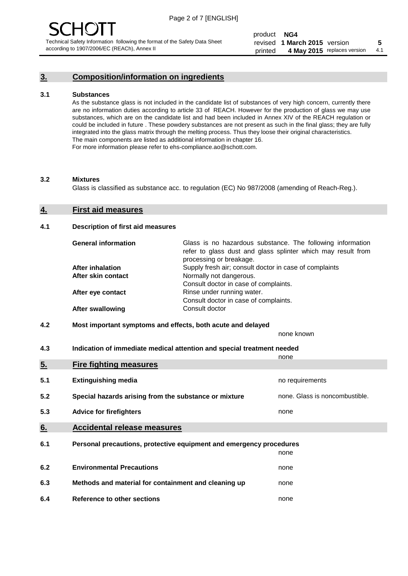#### **3. Composition/information on ingredients**

#### **3.1 Substances**

As the substance glass is not included in the candidate list of substances of very high concern, currently there are no information duties according to article 33 of REACH. However for the production of glass we may use substances, which are on the candidate list and had been included in Annex XIV of the REACH regulation or could be included in future . These powdery substances are not present as such in the final glass; they are fully integrated into the glass matrix through the melting process. Thus they loose their original characteristics. The main components are listed as additional information in chapter 16. For more information please refer to ehs-compliance.ao@schott.com.

#### **3.2 Mixtures**

Glass is classified as substance acc. to regulation (EC) No 987/2008 (amending of Reach-Reg.).

#### **4. First aid measures**

#### **4.1 Description of first aid measures**

| <b>General information</b> | Glass is no hazardous substance. The following information<br>refer to glass dust and glass splinter which may result from<br>processing or breakage. |  |
|----------------------------|-------------------------------------------------------------------------------------------------------------------------------------------------------|--|
| <b>After inhalation</b>    | Supply fresh air; consult doctor in case of complaints                                                                                                |  |
| After skin contact         | Normally not dangerous.                                                                                                                               |  |
|                            | Consult doctor in case of complaints.                                                                                                                 |  |
| After eye contact          | Rinse under running water.                                                                                                                            |  |
|                            | Consult doctor in case of complaints.                                                                                                                 |  |
| <b>After swallowing</b>    | Consult doctor                                                                                                                                        |  |

#### **4.2 Most important symptoms and effects, both acute and delayed**

none known

**4.3 Indication of immediate medical attention and special treatment needed** 

|     |                                                                     | none                           |
|-----|---------------------------------------------------------------------|--------------------------------|
| 5.  | <b>Fire fighting measures</b>                                       |                                |
| 5.1 | <b>Extinguishing media</b>                                          | no requirements                |
| 5.2 | Special hazards arising from the substance or mixture               | none. Glass is noncombustible. |
| 5.3 | <b>Advice for firefighters</b>                                      | none                           |
| 6.  | <b>Accidental release measures</b>                                  |                                |
| 6.1 | Personal precautions, protective equipment and emergency procedures |                                |
|     |                                                                     | none                           |
| 6.2 | <b>Environmental Precautions</b>                                    | none                           |
| 6.3 | Methods and material for containment and cleaning up                | none                           |
| 6.4 | Reference to other sections                                         | none                           |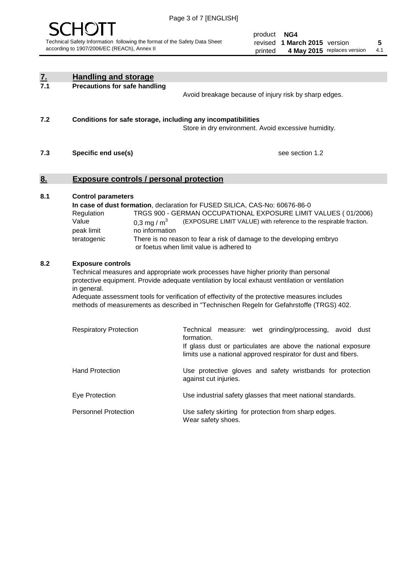

product **NG4** revised **5 1 March 2015** version printed 4 May 2015 replaces version 4.1

| $\underline{7}$ . | <b>Handling and storage</b>                                                                                                                                                                                                                                                                                                                                                                                                    |                                                                                                                                                                                                                                                                                                                                        |
|-------------------|--------------------------------------------------------------------------------------------------------------------------------------------------------------------------------------------------------------------------------------------------------------------------------------------------------------------------------------------------------------------------------------------------------------------------------|----------------------------------------------------------------------------------------------------------------------------------------------------------------------------------------------------------------------------------------------------------------------------------------------------------------------------------------|
| 7.1               | <b>Precautions for safe handling</b>                                                                                                                                                                                                                                                                                                                                                                                           | Avoid breakage because of injury risk by sharp edges.                                                                                                                                                                                                                                                                                  |
| 7.2               | Conditions for safe storage, including any incompatibilities                                                                                                                                                                                                                                                                                                                                                                   | Store in dry environment. Avoid excessive humidity.                                                                                                                                                                                                                                                                                    |
| 7.3               | Specific end use(s)                                                                                                                                                                                                                                                                                                                                                                                                            | see section 1.2                                                                                                                                                                                                                                                                                                                        |
| 8.                | <b>Exposure controls / personal protection</b>                                                                                                                                                                                                                                                                                                                                                                                 |                                                                                                                                                                                                                                                                                                                                        |
| 8.1               | <b>Control parameters</b><br>Regulation<br>Value<br>0.3 mg / $m^3$<br>no information<br>peak limit<br>teratogenic                                                                                                                                                                                                                                                                                                              | In case of dust formation, declaration for FUSED SILICA, CAS-No: 60676-86-0<br>TRGS 900 - GERMAN OCCUPATIONAL EXPOSURE LIMIT VALUES (01/2006)<br>(EXPOSURE LIMIT VALUE) with reference to the respirable fraction.<br>There is no reason to fear a risk of damage to the developing embryo<br>or foetus when limit value is adhered to |
| 8.2               | <b>Exposure controls</b><br>Technical measures and appropriate work processes have higher priority than personal<br>protective equipment. Provide adequate ventilation by local exhaust ventilation or ventilation<br>in general.<br>Adequate assessment tools for verification of effectivity of the protective measures includes<br>methods of measurements as described in "Technischen Regeln for Gefahrstoffe (TRGS) 402. |                                                                                                                                                                                                                                                                                                                                        |
|                   | <b>Respiratory Protection</b>                                                                                                                                                                                                                                                                                                                                                                                                  | Technical<br>measure: wet grinding/processing, avoid dust<br>formation.<br>If glass dust or particulates are above the national exposure<br>limits use a national approved respirator for dust and fibers.                                                                                                                             |
|                   | <b>Hand Protection</b>                                                                                                                                                                                                                                                                                                                                                                                                         | Use protective gloves and safety wristbands for protection<br>against cut injuries.                                                                                                                                                                                                                                                    |
|                   | Eye Protection                                                                                                                                                                                                                                                                                                                                                                                                                 | Use industrial safety glasses that meet national standards.                                                                                                                                                                                                                                                                            |
|                   | <b>Personnel Protection</b>                                                                                                                                                                                                                                                                                                                                                                                                    | Use safety skirting for protection from sharp edges.<br>Wear safety shoes.                                                                                                                                                                                                                                                             |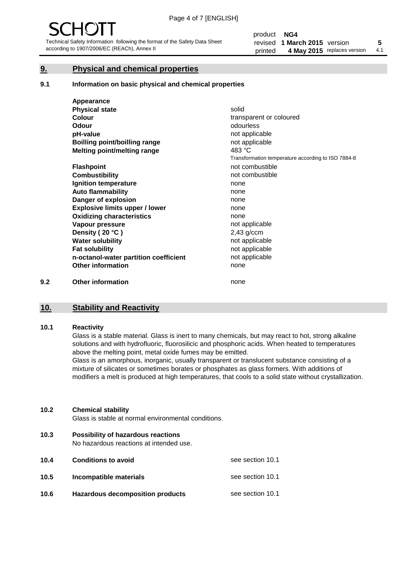#### **9. Physical and chemical properties**

#### **9.1 Information on basic physical and chemical properties**

|     | Appearance                            |                                                    |
|-----|---------------------------------------|----------------------------------------------------|
|     | <b>Physical state</b>                 | solid                                              |
|     | <b>Colour</b>                         | transparent or coloured                            |
|     | <b>Odour</b>                          | odourless                                          |
|     | pH-value                              | not applicable                                     |
|     | <b>Boilling point/boilling range</b>  | not applicable                                     |
|     | Melting point/melting range           | 483 °C                                             |
|     |                                       | Transformation temperature according to ISO 7884-8 |
|     | <b>Flashpoint</b>                     | not combustible                                    |
|     | <b>Combustibility</b>                 | not combustible                                    |
|     | Ignition temperature                  | none                                               |
|     | <b>Auto flammability</b>              | none                                               |
|     | Danger of explosion                   | none                                               |
|     | <b>Explosive limits upper / lower</b> | none                                               |
|     | <b>Oxidizing characteristics</b>      | none                                               |
|     | Vapour pressure                       | not applicable                                     |
|     | Density (20 °C)                       | $2,43$ g/ccm                                       |
|     | <b>Water solubility</b>               | not applicable                                     |
|     | <b>Fat solubility</b>                 | not applicable                                     |
|     | n-octanol-water partition coefficient | not applicable                                     |
|     | <b>Other information</b>              | none                                               |
| 9.2 | <b>Other information</b>              | none                                               |

#### **10. Stability and Reactivity**

#### **10.1 Reactivity**

Glass is a stable material. Glass is inert to many chemicals, but may react to hot, strong alkaline solutions and with hydrofluoric, fluorosilicic and phosphoric acids. When heated to temperatures above the melting point, metal oxide fumes may be emitted.

Glass is an amorphous, inorganic, usually transparent or translucent substance consisting of a mixture of silicates or sometimes borates or phosphates as glass formers. With additions of modifiers a melt is produced at high temperatures, that cools to a solid state without crystallization.

#### **10.2 Chemical stability**

Glass is stable at normal environmental conditions.

**10.3 Possibility of hazardous reactions** 

No hazardous reactions at intended use.

| 10.4 | <b>Conditions to avoid</b>       | see section 10.1 |
|------|----------------------------------|------------------|
| 10.5 | Incompatible materials           | see section 10.1 |
| 10.6 | Hazardous decomposition products | see section 10.1 |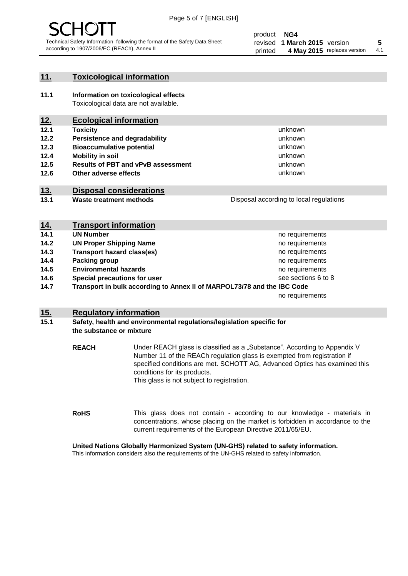

#### **11. Toxicological information**

**11.1 Information on toxicological effects** Toxicological data are not available.

#### **12. Ecological information**

- **12.1 Toxicity**
- **12.2 Persistence and degradability**
- **12.3 Bioaccumulative potential**
- **12.4 Mobility in soil**
- **12.5 Results of PBT and vPvB assessment**
- **12.6 Other adverse effects**

#### **13. Disposal considerations**

**13.1 Waste treatment methods**

Disposal according to local regulations

unknown unknown unknown unknown

unknown unknown

| <u>14.</u> | <b>Transport information</b>                                            |                     |
|------------|-------------------------------------------------------------------------|---------------------|
| 14.1       | <b>UN Number</b>                                                        | no requirements     |
| 14.2       | <b>UN Proper Shipping Name</b>                                          | no requirements     |
| 14.3       | <b>Transport hazard class(es)</b>                                       | no requirements     |
| 14.4       | Packing group                                                           | no requirements     |
| 14.5       | <b>Environmental hazards</b>                                            | no requirements     |
| 14.6       | Special precautions for user                                            | see sections 6 to 8 |
| 14.7       | Transport in bulk according to Annex II of MARPOL73/78 and the IBC Code |                     |
|            |                                                                         | no requirements     |

#### **15. Regulatory information**

#### **15.1 Safety, health and environmental regulations/legislation specific for the substance or mixture**

**REACH** Under REACH glass is classified as a "Substance". According to Appendix V Number 11 of the REACh regulation glass is exempted from registration if specified conditions are met. SCHOTT AG, Advanced Optics has examined this conditions for its products. This glass is not subject to registration.

**RoHS** This glass does not contain - according to our knowledge - materials in concentrations, whose placing on the market is forbidden in accordance to the current requirements of the European Directive 2011/65/EU.

#### **United Nations Globally Harmonized System (UN-GHS) related to safety information.**

This information considers also the requirements of the UN-GHS related to safety information.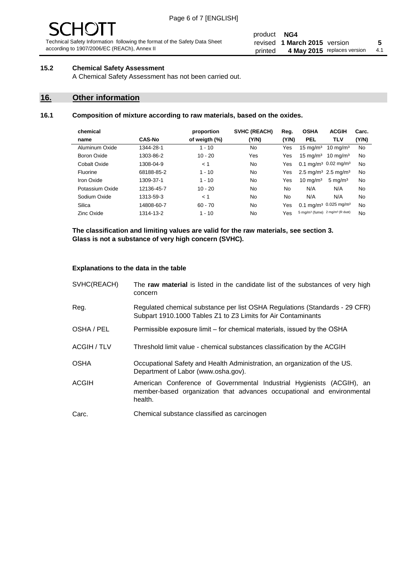# - JF

Technical Safety Information following the format of the Safety Data Sheet according to 1907/2006/EC (REACh), Annex II

#### product **NG4** revised **5 1 March 2015** version printed 4 May 2015 replaces version 4.1

#### **15.2 Chemical Safety Assessment**

A Chemical Safety Assessment has not been carried out.

#### **16. Other information**

#### **16.1 Composition of mixture according to raw materials, based on the oxides.**

| chemical        |               | proportion    | <b>SVHC (REACH)</b> | Reg.  | <b>OSHA</b>                                             | <b>ACGIH</b>        | Carc. |
|-----------------|---------------|---------------|---------------------|-------|---------------------------------------------------------|---------------------|-------|
| name            | <b>CAS-No</b> | of weigth (%) | (Y/N)               | (Y/N) | <b>PEL</b>                                              | <b>TLV</b>          | (Y/N) |
| Aluminum Oxide  | 1344-28-1     | $1 - 10$      | No                  | Yes   | $15 \text{ mg/m}^3$                                     | $10 \text{ mg/m}^3$ | No    |
| Boron Oxide     | 1303-86-2     | $10 - 20$     | Yes                 | Yes   | $15 \text{ mg/m}^3$                                     | $10 \text{ ma/m}^3$ | No    |
| Cobalt Oxide    | 1308-04-9     | < 1           | No.                 | Yes   | 0.1 mg/m <sup>3</sup> 0.02 mg/m <sup>3</sup>            |                     | No    |
| Fluorine        | 68188-85-2    | $1 - 10$      | No                  | Yes   | 2.5 mg/m <sup>3</sup> 2.5 mg/m <sup>3</sup>             |                     | No    |
| Iron Oxide      | 1309-37-1     | $1 - 10$      | No                  | Yes   | $10 \text{ mg/m}^3$                                     | $5 \text{ mg/m}^3$  | No    |
| Potassium Oxide | 12136-45-7    | $10 - 20$     | No                  | No.   | N/A                                                     | N/A                 | No    |
| Sodium Oxide    | 1313-59-3     | < 1           | No                  | No    | N/A                                                     | N/A                 | No    |
| Silica          | 14808-60-7    | $60 - 70$     | No.                 | Yes   | 0.1 mg/m <sup>3</sup> 0.025 mg/m <sup>3</sup>           |                     | No    |
| Zinc Oxide      | 1314-13-2     | $1 - 10$      | No                  | Yes   | 5 mg/m <sup>3</sup> (fume) 2 mg/m <sup>3</sup> (R dust) |                     | No    |

**The classification and limiting values are valid for the raw materials, see section 3. Glass is not a substance of very high concern (SVHC).**

#### **Explanations to the data in the table**

| SVHC(REACH)        | The raw material is listed in the candidate list of the substances of very high<br>concern                                                                 |
|--------------------|------------------------------------------------------------------------------------------------------------------------------------------------------------|
| Reg.               | Regulated chemical substance per list OSHA Regulations (Standards - 29 CFR)<br>Subpart 1910.1000 Tables Z1 to Z3 Limits for Air Contaminants               |
| OSHA / PEL         | Permissible exposure limit – for chemical materials, issued by the OSHA                                                                                    |
| <b>ACGIH / TLV</b> | Threshold limit value - chemical substances classification by the ACGIH                                                                                    |
| <b>OSHA</b>        | Occupational Safety and Health Administration, an organization of the US.<br>Department of Labor (www.osha.gov).                                           |
| ACGIH              | American Conference of Governmental Industrial Hygienists (ACGIH), an<br>member-based organization that advances occupational and environmental<br>health. |
| Carc.              | Chemical substance classified as carcinogen                                                                                                                |